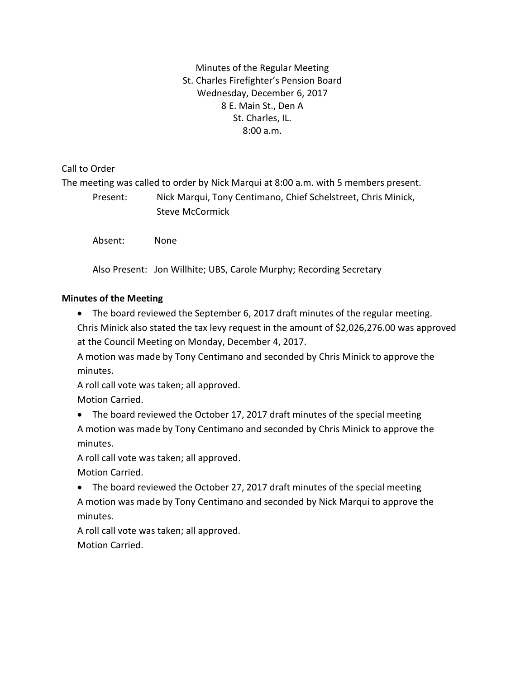Minutes of the Regular Meeting St. Charles Firefighter's Pension Board Wednesday, December 6, 2017 8 E. Main St., Den A St. Charles, IL. 8:00 a.m.

Call to Order The meeting was called to order by Nick Marqui at 8:00 a.m. with 5 members present.

Present: Nick Marqui, Tony Centimano, Chief Schelstreet, Chris Minick, Steve McCormick

Absent: None

Also Present: Jon Willhite; UBS, Carole Murphy; Recording Secretary

# **Minutes of the Meeting**

• The board reviewed the September 6, 2017 draft minutes of the regular meeting. Chris Minick also stated the tax levy request in the amount of \$2,026,276.00 was approved at the Council Meeting on Monday, December 4, 2017.

A motion was made by Tony Centimano and seconded by Chris Minick to approve the minutes.

A roll call vote was taken; all approved.

Motion Carried.

 The board reviewed the October 17, 2017 draft minutes of the special meeting A motion was made by Tony Centimano and seconded by Chris Minick to approve the minutes.

A roll call vote was taken; all approved.

Motion Carried.

• The board reviewed the October 27, 2017 draft minutes of the special meeting A motion was made by Tony Centimano and seconded by Nick Marqui to approve the minutes.

A roll call vote was taken; all approved. Motion Carried.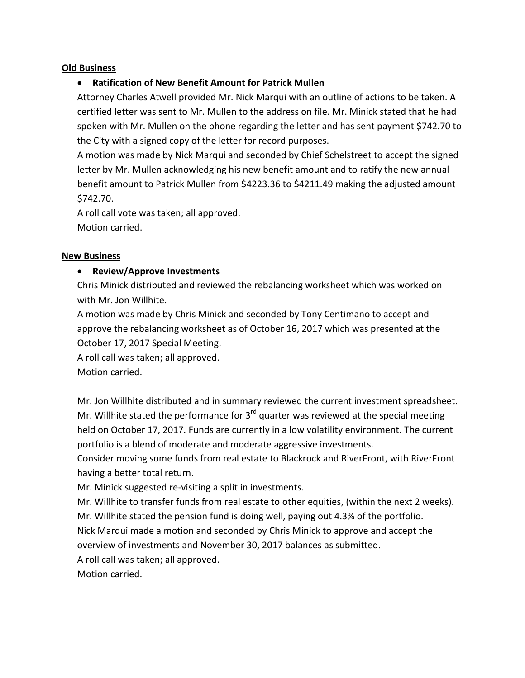#### **Old Business**

# **Ratification of New Benefit Amount for Patrick Mullen**

Attorney Charles Atwell provided Mr. Nick Marqui with an outline of actions to be taken. A certified letter was sent to Mr. Mullen to the address on file. Mr. Minick stated that he had spoken with Mr. Mullen on the phone regarding the letter and has sent payment \$742.70 to the City with a signed copy of the letter for record purposes.

A motion was made by Nick Marqui and seconded by Chief Schelstreet to accept the signed letter by Mr. Mullen acknowledging his new benefit amount and to ratify the new annual benefit amount to Patrick Mullen from \$4223.36 to \$4211.49 making the adjusted amount \$742.70.

A roll call vote was taken; all approved. Motion carried.

#### **New Business**

# **Review/Approve Investments**

Chris Minick distributed and reviewed the rebalancing worksheet which was worked on with Mr. Jon Willhite.

A motion was made by Chris Minick and seconded by Tony Centimano to accept and approve the rebalancing worksheet as of October 16, 2017 which was presented at the October 17, 2017 Special Meeting.

A roll call was taken; all approved.

Motion carried.

Mr. Jon Willhite distributed and in summary reviewed the current investment spreadsheet. Mr. Willhite stated the performance for  $3^{rd}$  quarter was reviewed at the special meeting held on October 17, 2017. Funds are currently in a low volatility environment. The current portfolio is a blend of moderate and moderate aggressive investments.

Consider moving some funds from real estate to Blackrock and RiverFront, with RiverFront having a better total return.

Mr. Minick suggested re-visiting a split in investments.

Mr. Willhite to transfer funds from real estate to other equities, (within the next 2 weeks). Mr. Willhite stated the pension fund is doing well, paying out 4.3% of the portfolio.

Nick Marqui made a motion and seconded by Chris Minick to approve and accept the overview of investments and November 30, 2017 balances as submitted.

A roll call was taken; all approved.

Motion carried.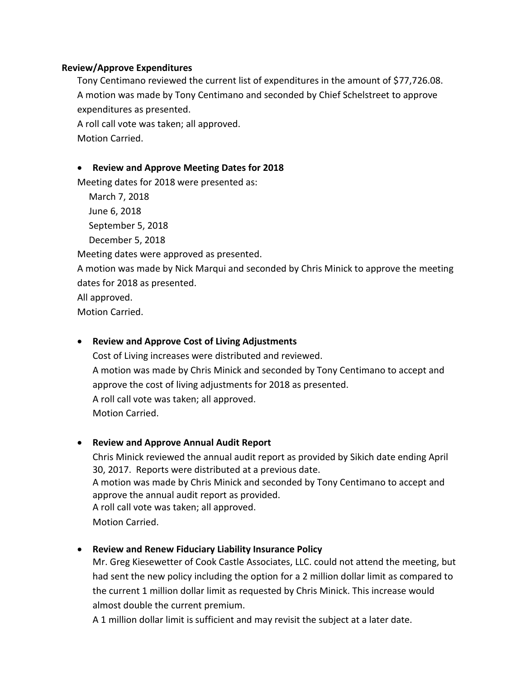#### **Review/Approve Expenditures**

Tony Centimano reviewed the current list of expenditures in the amount of \$77,726.08. A motion was made by Tony Centimano and seconded by Chief Schelstreet to approve expenditures as presented.

A roll call vote was taken; all approved.

Motion Carried.

# **Review and Approve Meeting Dates for 2018**

Meeting dates for 2018 were presented as:

 March 7, 2018 June 6, 2018 September 5, 2018 December 5, 2018 Meeting dates were approved as presented. A motion was made by Nick Marqui and seconded by Chris Minick to approve the meeting

dates for 2018 as presented.

All approved.

Motion Carried.

# **Review and Approve Cost of Living Adjustments**

Cost of Living increases were distributed and reviewed. A motion was made by Chris Minick and seconded by Tony Centimano to accept and approve the cost of living adjustments for 2018 as presented. A roll call vote was taken; all approved. Motion Carried.

# **Review and Approve Annual Audit Report**

Chris Minick reviewed the annual audit report as provided by Sikich date ending April 30, 2017. Reports were distributed at a previous date. A motion was made by Chris Minick and seconded by Tony Centimano to accept and approve the annual audit report as provided. A roll call vote was taken; all approved. Motion Carried.

# **Review and Renew Fiduciary Liability Insurance Policy**

Mr. Greg Kiesewetter of Cook Castle Associates, LLC. could not attend the meeting, but had sent the new policy including the option for a 2 million dollar limit as compared to the current 1 million dollar limit as requested by Chris Minick. This increase would almost double the current premium.

A 1 million dollar limit is sufficient and may revisit the subject at a later date.